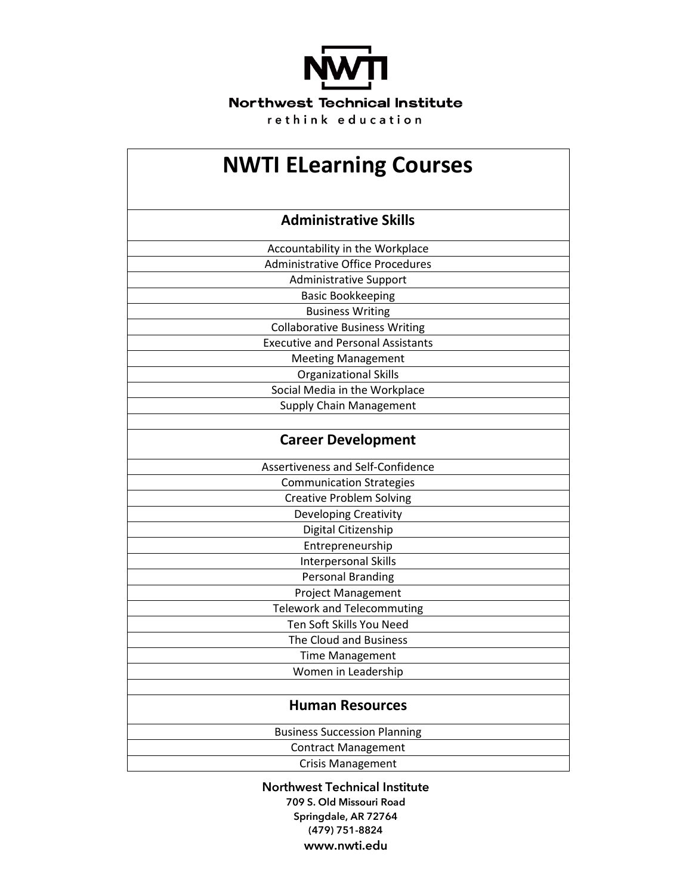

| <b>NWTI ELearning Courses</b>            |
|------------------------------------------|
| <b>Administrative Skills</b>             |
| Accountability in the Workplace          |
| <b>Administrative Office Procedures</b>  |
| <b>Administrative Support</b>            |
| <b>Basic Bookkeeping</b>                 |
| <b>Business Writing</b>                  |
| <b>Collaborative Business Writing</b>    |
| <b>Executive and Personal Assistants</b> |
| <b>Meeting Management</b>                |
| <b>Organizational Skills</b>             |
| Social Media in the Workplace            |
| <b>Supply Chain Management</b>           |
|                                          |
| <b>Career Development</b>                |
| Assertiveness and Self-Confidence        |
| <b>Communication Strategies</b>          |
| <b>Creative Problem Solving</b>          |
| <b>Developing Creativity</b>             |
| Digital Citizenship                      |
| Entrepreneurship                         |
| <b>Interpersonal Skills</b>              |
| <b>Personal Branding</b>                 |
| <b>Project Management</b>                |
| <b>Telework and Telecommuting</b>        |
| Ten Soft Skills You Need                 |
| The Cloud and Business                   |
| Time Management                          |
| Women in Leadership                      |
| <b>Human Resources</b>                   |
| <b>Business Succession Planning</b>      |
| <b>Contract Management</b>               |
| <b>Crisis Management</b>                 |

**Northwest Technical Institute 709 S. Old Missouri Road Springdale, AR 72764 (479) 751-8824 www.nwti.edu**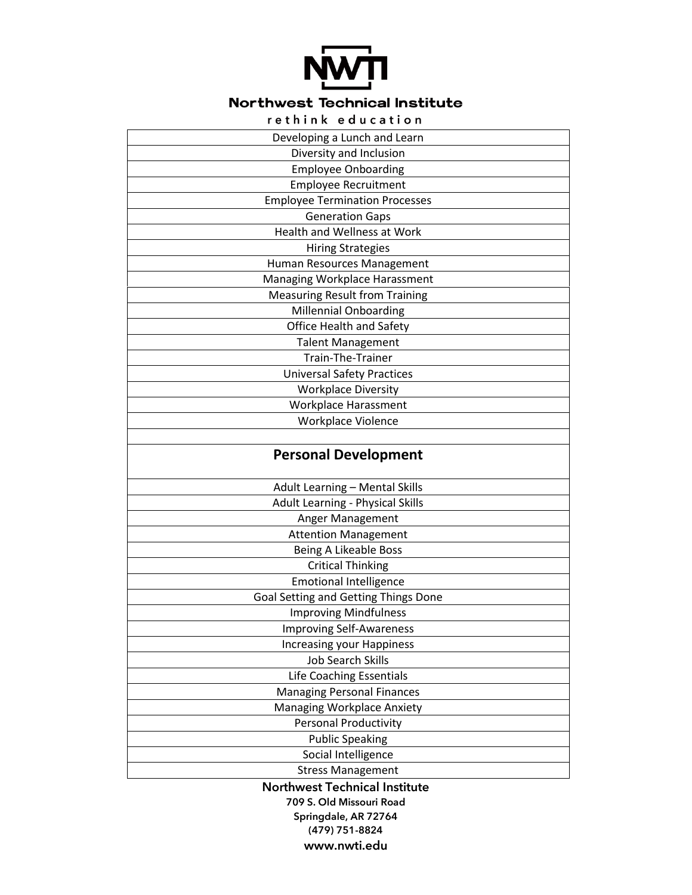

## Northwest Technical Institute

|  |  |  | rethink education |  |  |  |  |
|--|--|--|-------------------|--|--|--|--|

| Developing a Lunch and Learn          |
|---------------------------------------|
| Diversity and Inclusion               |
| <b>Employee Onboarding</b>            |
| <b>Employee Recruitment</b>           |
| <b>Employee Termination Processes</b> |
| <b>Generation Gaps</b>                |
| <b>Health and Wellness at Work</b>    |
| <b>Hiring Strategies</b>              |
| Human Resources Management            |
| Managing Workplace Harassment         |
| <b>Measuring Result from Training</b> |
| <b>Millennial Onboarding</b>          |
| Office Health and Safety              |
| <b>Talent Management</b>              |
| Train-The-Trainer                     |
| <b>Universal Safety Practices</b>     |
| <b>Workplace Diversity</b>            |
| <b>Workplace Harassment</b>           |
| Workplace Violence                    |
|                                       |
| <b>Personal Development</b>           |
| <b>Adult Learning - Mental Skills</b> |
| Adult Learning - Physical Skills      |
| Anger Management                      |
| <b>Attention Management</b>           |
| Being A Likeable Boss                 |
| <b>Critical Thinking</b>              |
| <b>Emotional Intelligence</b>         |
| Goal Setting and Getting Things Done  |
| <b>Improving Mindfulness</b>          |
| <b>Improving Self-Awareness</b>       |
| <b>Increasing your Happiness</b>      |
| <b>Job Search Skills</b>              |
| Life Coaching Essentials              |
| <b>Managing Personal Finances</b>     |
| Managing Workplace Anxiety            |
| <b>Personal Productivity</b>          |
| <b>Public Speaking</b>                |
| Social Intelligence                   |
| <b>Stress Management</b>              |
| <b>Northwest Technical Institute</b>  |
| 709 S. Old Missouri Road              |

**Springdale, AR 72764 (479) 751-8824 www.nwti.edu**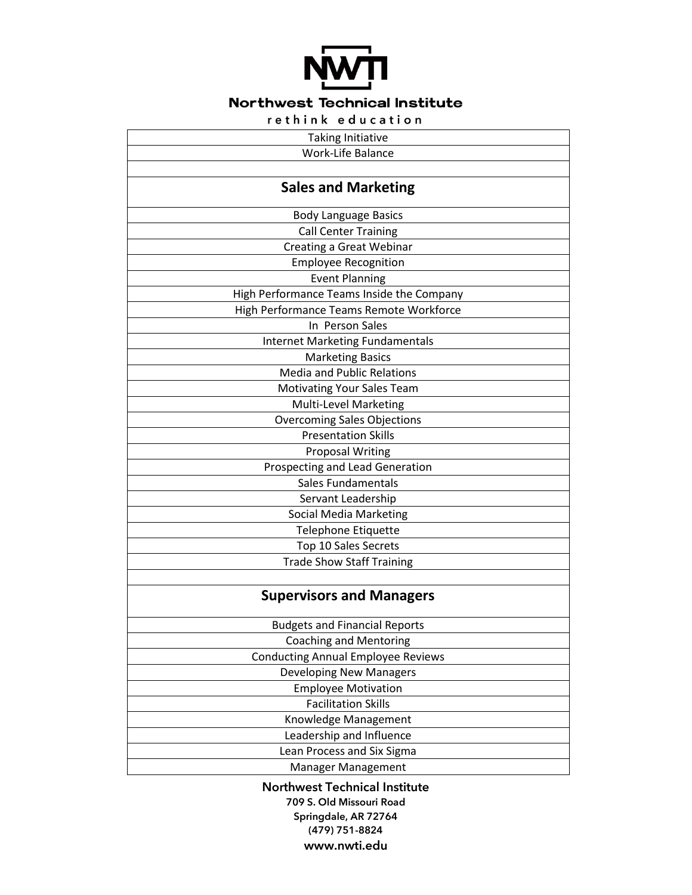

## **Northwest Technical Institute**

rethink education

| <b>Taking Initiative</b>                  |
|-------------------------------------------|
| Work-Life Balance                         |
|                                           |
| <b>Sales and Marketing</b>                |
| <b>Body Language Basics</b>               |
| <b>Call Center Training</b>               |
| Creating a Great Webinar                  |
| <b>Employee Recognition</b>               |
| <b>Event Planning</b>                     |
| High Performance Teams Inside the Company |
| High Performance Teams Remote Workforce   |
| In Person Sales                           |
| <b>Internet Marketing Fundamentals</b>    |
| <b>Marketing Basics</b>                   |
| <b>Media and Public Relations</b>         |
| <b>Motivating Your Sales Team</b>         |
| Multi-Level Marketing                     |
| <b>Overcoming Sales Objections</b>        |
| <b>Presentation Skills</b>                |
| <b>Proposal Writing</b>                   |
| Prospecting and Lead Generation           |
| <b>Sales Fundamentals</b>                 |
| Servant Leadership                        |
| <b>Social Media Marketing</b>             |
| Telephone Etiquette                       |
| Top 10 Sales Secrets                      |
| <b>Trade Show Staff Training</b>          |
|                                           |
| <b>Supervisors and Managers</b>           |
| <b>Budgets and Financial Reports</b>      |
| <b>Coaching and Mentoring</b>             |
| <b>Conducting Annual Employee Reviews</b> |
| <b>Developing New Managers</b>            |
| <b>Employee Motivation</b>                |
| <b>Facilitation Skills</b>                |
| Knowledge Management                      |
| Leadership and Influence                  |
| Lean Process and Six Sigma                |
| Manager Management                        |
|                                           |

**Northwest Technical Institute 709 S. Old Missouri Road Springdale, AR 72764 (479) 751-8824 www.nwti.edu**